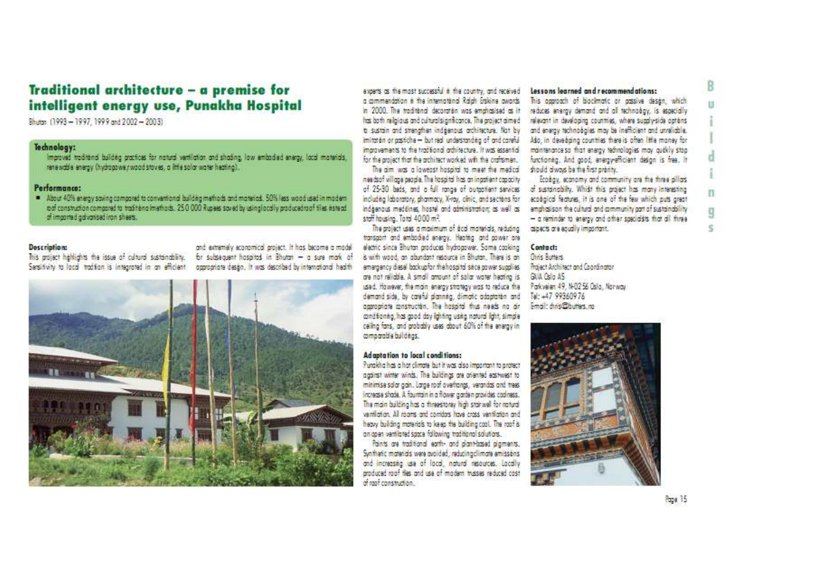# Traditional architecture - a premise for intelligent energy use, Punakha Hospital

Rhutte, (1993 - 1997 1999 and 2002 - 2003)

## Technology:

immust and tend baldes application natural vertication and should a low embodied energy local moterials. renewable energy (hydrogowe rwood stoves, a little solar woter heating).

# Performance:

About 40% energy soving compared to conventional building methods and materials. 50% less wood used in modern not construction compared to traditional methods. 250,000 Runees sayed by using locally applicational sles instead. of imported advantaging n sheets.

#### Description:

and externely economical arolest. It has become a model his project habilidhts the issue of cultural sustainablity. For subsequent hospitals in Bhutan - a sure mark of Sessitvity to local tration is integrated in an efficient appropriate design. It was described by international health



axers as the most successful is the country and received a mannacática à the international Raigh Freking awards. in 2000. The traditional decoration was emphasised as it has both relatous and cultural significance. The grotect gimed to sustria and strengthen indicenous architecture. Not by imitation or assight - but real understanding of and coreful ingrovements to the traditional adhitecture. It was essential for the collect that the orthitect worked with the contamen

needs of village nearle. The installations as incorporational including Iabaratory, gharmacy. X-roy, clinic, and sections for staff housing. Total 4000 m<sup>2</sup>.

The project uses a maximum of écol materials, reduting assects are equally important. transport and embodied energy. Healtha and power are electric since Shutan produces bydggawer. Same cooking Contact: is with wood, an abundant resource in Shutan. There is an emargency dietal bockupfor the hospital seca nower supplies are not reliable. A small amount of solar water heating is GUA Oslo AS used. However, the main energy strategy was to reduce the Park veien 49. N-B2 56 Oslo. Norway. demand side, by careful alanning, dimatic adaptation and Tel: +47 99360976 aggregate masturitie. The hospital thus needs no air - Email: duis02hutters no conditioning, has good day lighting using natural light, simple calling fans, and probably uses about 60% of the energy in comparable buildings.

### Adaptation to local conditions:

Puonkha has a hat climate but it was also important to arctect gazinst winter winds. The buildings are oriented eastwest to minimise salar agin. Large roof overhands, verandas and trees increase shade. A fountain in a flower garden provides coolness. The main building has a threestorey high star well for ratural verifiction. All rooms and comitors hous costs vanification and heavy building materials to keep the building cool. The roof is an open ventilated sacce following traditional solutions.

Paints are traditional earth- and alant-based alaments. Synthetic moterials were avoided reducing climate emissions and increasing use of local, natural resources, Locally produced roof fles and use of modern trusses reduced cost  $A$  and construction

#### Lessons learned and recommendations:

his anomath of hiarlmatic as anssiye desan which reduces energy demand and all technology is especially relevant in developing countries, where suggly-side gateris and energy technologies may be inefficient and unreliable Aso, in developing countries there is other little money for pointenance so that energy technologies may audily stop functioned. And anod, energy-efficient desan is free. It The nim was a lowered hospital to meet the medical should always be the first preside.

Frakay ermany and community are the three allow. of 25-30 bads, and a full range of outcotient services of sustainability. Which this project has many interesting ecoloical features. It is one of the few which puts areat indegnous meditings, hostal and administration: as well as a amphasism the cultural and community part of sustainability - a reminder to energy and other specialists that all three

Chris Ruttare Project Architect and Coordinator



п

n

Q